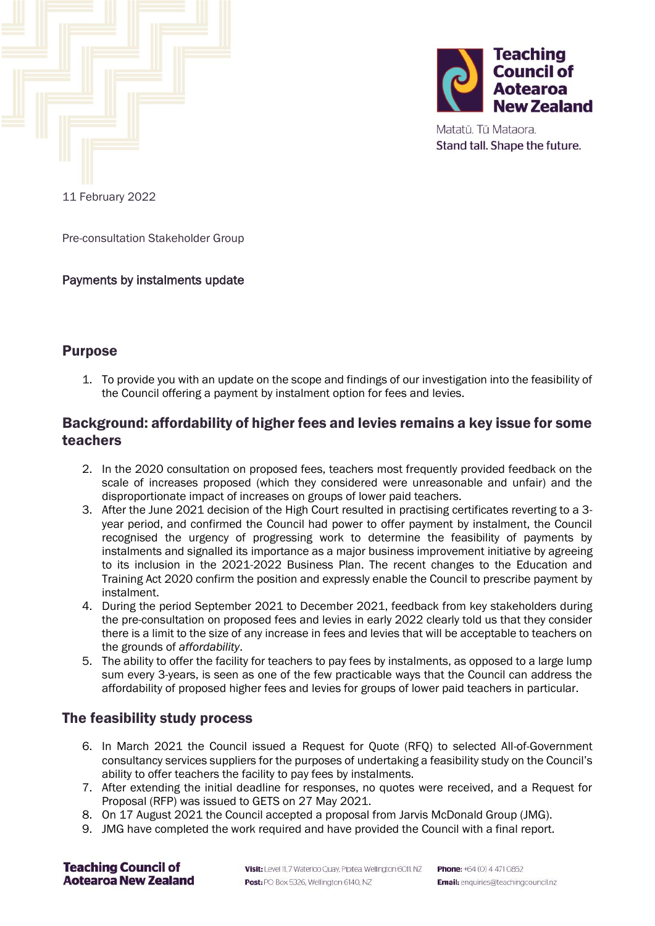



Matatū. Tū Mataora. Stand tall. Shape the future.

11 February 2022

Pre-consultation Stakeholder Group

#### Payments by instalments update

#### Purpose

1. To provide you with an update on the scope and findings of our investigation into the feasibility of the Council offering a payment by instalment option for fees and levies.

## Background: affordability of higher fees and levies remains a key issue for some teachers

- 2. In the 2020 consultation on proposed fees, teachers most frequently provided feedback on the scale of increases proposed (which they considered were unreasonable and unfair) and the disproportionate impact of increases on groups of lower paid teachers.
- 3. After the June 2021 decision of the High Court resulted in practising certificates reverting to a 3 year period, and confirmed the Council had power to offer payment by instalment, the Council recognised the urgency of progressing work to determine the feasibility of payments by instalments and signalled its importance as a major business improvement initiative by agreeing to its inclusion in the 2021-2022 Business Plan. The recent changes to the Education and Training Act 2020 confirm the position and expressly enable the Council to prescribe payment by instalment.
- 4. During the period September 2021 to December 2021, feedback from key stakeholders during the pre-consultation on proposed fees and levies in early 2022 clearly told us that they consider there is a limit to the size of any increase in fees and levies that will be acceptable to teachers on the grounds of *affordability*.
- 5. The ability to offer the facility for teachers to pay fees by instalments, as opposed to a large lump sum every 3-years, is seen as one of the few practicable ways that the Council can address the affordability of proposed higher fees and levies for groups of lower paid teachers in particular.

## The feasibility study process

- 6. In March 2021 the Council issued a Request for Quote (RFQ) to selected All-of-Government consultancy services suppliers for the purposes of undertaking a feasibility study on the Council's ability to offer teachers the facility to pay fees by instalments.
- 7. After extending the initial deadline for responses, no quotes were received, and a Request for Proposal (RFP) was issued to GETS on 27 May 2021.
- 8. On 17 August 2021 the Council accepted a proposal from Jarvis McDonald Group (JMG).
- 9. JMG have completed the work required and have provided the Council with a final report.

**Teaching Council of Aotearoa New Zealand**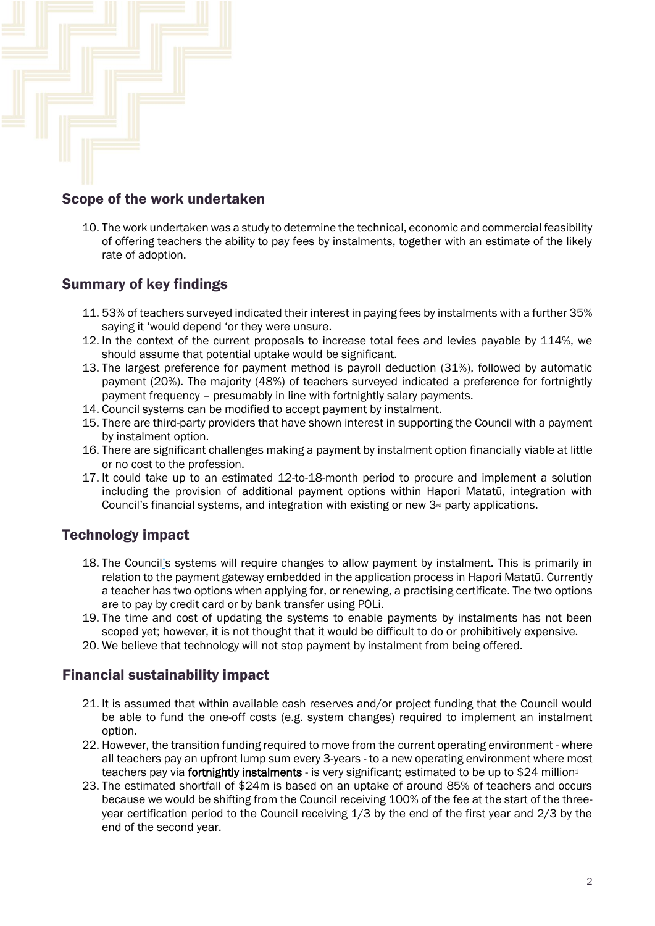

## Scope of the work undertaken

10. The work undertaken was a study to determine the technical, economic and commercial feasibility of offering teachers the ability to pay fees by instalments, together with an estimate of the likely rate of adoption.

# Summary of key findings

- 11. 53% of teachers surveyed indicated their interest in paying fees by instalments with a further 35% saying it 'would depend 'or they were unsure.
- 12. In the context of the current proposals to increase total fees and levies payable by 114%, we should assume that potential uptake would be significant.
- 13. The largest preference for payment method is payroll deduction (31%), followed by automatic payment (20%). The majority (48%) of teachers surveyed indicated a preference for fortnightly payment frequency – presumably in line with fortnightly salary payments.
- 14. Council systems can be modified to accept payment by instalment.
- 15. There are third-party providers that have shown interest in supporting the Council with a payment by instalment option.
- 16. There are significant challenges making a payment by instalment option financially viable at little or no cost to the profession.
- 17. It could take up to an estimated 12-to-18-month period to procure and implement a solution including the provision of additional payment options within Hapori Matatū, integration with Council's financial systems, and integration with existing or new  $3<sup>d</sup>$  party applications.

# Technology impact

- 18. The Council's systems will require changes to allow payment by instalment. This is primarily in relation to the payment gateway embedded in the application process in Hapori Matatū. Currently a teacher has two options when applying for, or renewing, a practising certificate. The two options are to pay by credit card or by bank transfer using POLi.
- 19. The time and cost of updating the systems to enable payments by instalments has not been scoped yet; however, it is not thought that it would be difficult to do or prohibitively expensive.
- 20. We believe that technology will not stop payment by instalment from being offered.

## Financial sustainability impact

- 21. It is assumed that within available cash reserves and/or project funding that the Council would be able to fund the one-off costs (e.g. system changes) required to implement an instalment option.
- 22. However, the transition funding required to move from the current operating environment where all teachers pay an upfront lump sum every 3-years - to a new operating environment where most teachers pay via fortnightly instalments - is very significant; estimated to be up to \$24 million<sup>1</sup>
- 23. The estimated shortfall of \$24m is based on an uptake of around 85% of teachers and occurs because we would be shifting from the Council receiving 100% of the fee at the start of the threeyear certification period to the Council receiving 1/3 by the end of the first year and 2/3 by the end of the second year.